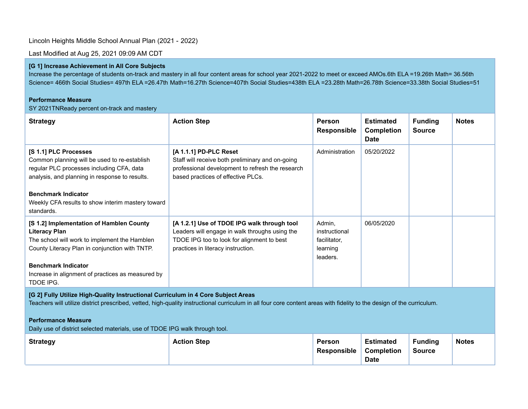# Lincoln Heights Middle School Annual Plan (2021 - 2022)

Last Modified at Aug 25, 2021 09:09 AM CDT

## **[G 1] Increase Achievement in All Core Subjects**

Increase the percentage of students on-track and mastery in all four content areas for school year 2021-2022 to meet or exceed AMOs.6th ELA =19.26th Math= 36.56th Science= 466th Social Studies= 497th ELA =26.47th Math=16.27th Science=407th Social Studies=438th ELA =23.28th Math=26.78th Science=33.38th Social Studies=51

### **Performance Measure**

SY 2021TNReady percent on-track and mastery

| <b>Strategy</b>                                                                                                                                                                                                                                                            | <b>Action Step</b>                                                                                                                                                                | <b>Person</b><br><b>Responsible</b>                             | <b>Estimated</b><br><b>Completion</b><br><b>Date</b> | <b>Funding</b><br><b>Source</b> | <b>Notes</b> |
|----------------------------------------------------------------------------------------------------------------------------------------------------------------------------------------------------------------------------------------------------------------------------|-----------------------------------------------------------------------------------------------------------------------------------------------------------------------------------|-----------------------------------------------------------------|------------------------------------------------------|---------------------------------|--------------|
| [S 1.1] PLC Processes<br>Common planning will be used to re-establish<br>regular PLC processes including CFA, data<br>analysis, and planning in response to results.                                                                                                       | [A 1.1.1] PD-PLC Reset<br>Staff will receive both preliminary and on-going<br>professional development to refresh the research<br>based practices of effective PLCs.              | Administration                                                  | 05/20/2022                                           |                                 |              |
| <b>Benchmark Indicator</b><br>Weekly CFA results to show interim mastery toward<br>standards.                                                                                                                                                                              |                                                                                                                                                                                   |                                                                 |                                                      |                                 |              |
| [S 1.2] Implementation of Hamblen County<br><b>Literacy Plan</b><br>The school will work to implement the Hamblen<br>County Literacy Plan in conjunction with TNTP.<br><b>Benchmark Indicator</b><br>Increase in alignment of practices as measured by<br><b>TDOE IPG.</b> | [A 1.2.1] Use of TDOE IPG walk through tool<br>Leaders will engage in walk throughs using the<br>TDOE IPG too to look for alignment to best<br>practices in literacy instruction. | Admin,<br>instructional<br>facilitator,<br>learning<br>leaders. | 06/05/2020                                           |                                 |              |

## **[G 2] Fully Utilize High-Quality Instructional Curriculum in 4 Core Subject Areas**

Teachers will utilize district prescribed, vetted, high-quality instructional curriculum in all four core content areas with fidelity to the design of the curriculum.

### **Performance Measure**

Daily use of district selected materials, use of TDOE IPG walk through tool.

| <b>Strategy</b> | <b>Action Step</b> | <b>Person</b><br><b>Responsible</b> | <b>Estimated</b><br>Completion<br><b>Date</b> | <b>Funding</b><br>Source | <b>Notes</b> |
|-----------------|--------------------|-------------------------------------|-----------------------------------------------|--------------------------|--------------|
|-----------------|--------------------|-------------------------------------|-----------------------------------------------|--------------------------|--------------|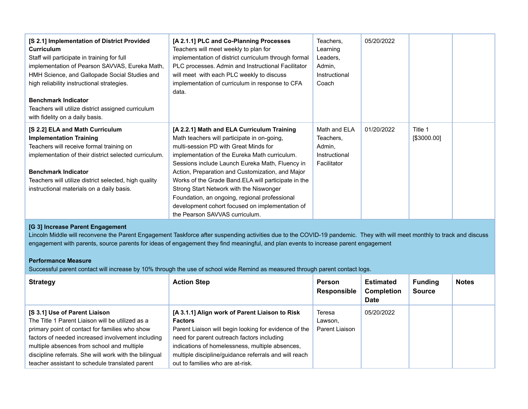| [S 2.1] Implementation of District Provided<br>Curriculum<br>Staff will participate in training for full<br>implementation of Pearson SAVVAS, Eureka Math,<br>HMH Science, and Gallopade Social Studies and<br>high reliability instructional strategies.<br><b>Benchmark Indicator</b><br>Teachers will utilize district assigned curriculum<br>with fidelity on a daily basis. | [A 2.1.1] PLC and Co-Planning Processes<br>Teachers will meet weekly to plan for<br>implementation of district curriculum through formal<br>PLC processes. Admin and Instructional Facilitator<br>will meet with each PLC weekly to discuss<br>implementation of curriculum in response to CFA<br>data.                                                                                                                                                                                                                            | Teachers.<br>Learning<br>Leaders,<br>Admin,<br>Instructional<br>Coach | 05/20/2022 |                        |  |
|----------------------------------------------------------------------------------------------------------------------------------------------------------------------------------------------------------------------------------------------------------------------------------------------------------------------------------------------------------------------------------|------------------------------------------------------------------------------------------------------------------------------------------------------------------------------------------------------------------------------------------------------------------------------------------------------------------------------------------------------------------------------------------------------------------------------------------------------------------------------------------------------------------------------------|-----------------------------------------------------------------------|------------|------------------------|--|
| [S 2.2] ELA and Math Curriculum<br><b>Implementation Training</b><br>Teachers will receive formal training on<br>implementation of their district selected curriculum.<br><b>Benchmark Indicator</b><br>Teachers will utilize district selected, high quality<br>instructional materials on a daily basis.                                                                       | [A 2.2.1] Math and ELA Curriculum Training<br>Math teachers will participate in on-going,<br>multi-session PD with Great Minds for<br>implementation of the Eureka Math curriculum.<br>Sessions include Launch Eureka Math, Fluency in<br>Action, Preparation and Customization, and Major<br>Works of the Grade Band.ELA will participate in the<br>Strong Start Network with the Niswonger<br>Foundation, an ongoing, regional professional<br>development cohort focused on implementation of<br>the Pearson SAVVAS curriculum. | Math and ELA<br>Teachers,<br>Admin,<br>Instructional<br>Facilitator   | 01/20/2022 | Title 1<br>[\$3000.00] |  |

# **[G 3] Increase Parent Engagement**

Lincoln Middle will reconvene the Parent Engagement Taskforce after suspending activities due to the COVID-19 pandemic. They with will meet monthly to track and discuss engagement with parents, source parents for ideas of engagement they find meaningful, and plan events to increase parent engagement

# **Performance Measure**

Successful parent contact will increase by 10% through the use of school wide Remind as measured through parent contact logs.

| <b>Strategy</b>                                                                                                                                                                                                                                                                                                                                            | <b>Action Step</b>                                                                                                                                                                                                                                                                                                      | <b>Person</b><br><b>Responsible</b> | <b>Estimated</b><br><b>Completion</b><br><b>Date</b> | <b>Funding</b><br><b>Source</b> | <b>Notes</b> |
|------------------------------------------------------------------------------------------------------------------------------------------------------------------------------------------------------------------------------------------------------------------------------------------------------------------------------------------------------------|-------------------------------------------------------------------------------------------------------------------------------------------------------------------------------------------------------------------------------------------------------------------------------------------------------------------------|-------------------------------------|------------------------------------------------------|---------------------------------|--------------|
| <b>IS 3.11 Use of Parent Liaison</b><br>The Title 1 Parent Liaison will be utilized as a<br>primary point of contact for families who show<br>factors of needed increased involvement including<br>multiple absences from school and multiple<br>discipline referrals. She will work with the bilingual<br>teacher assistant to schedule translated parent | [A 3.1.1] Align work of Parent Liaison to Risk<br><b>Factors</b><br>Parent Liaison will begin looking for evidence of the<br>need for parent outreach factors including<br>indications of homelessness, multiple absences,<br>multiple discipline/guidance referrals and will reach<br>out to families who are at-risk. | Teresa<br>Lawson,<br>Parent Liaison | 05/20/2022                                           |                                 |              |